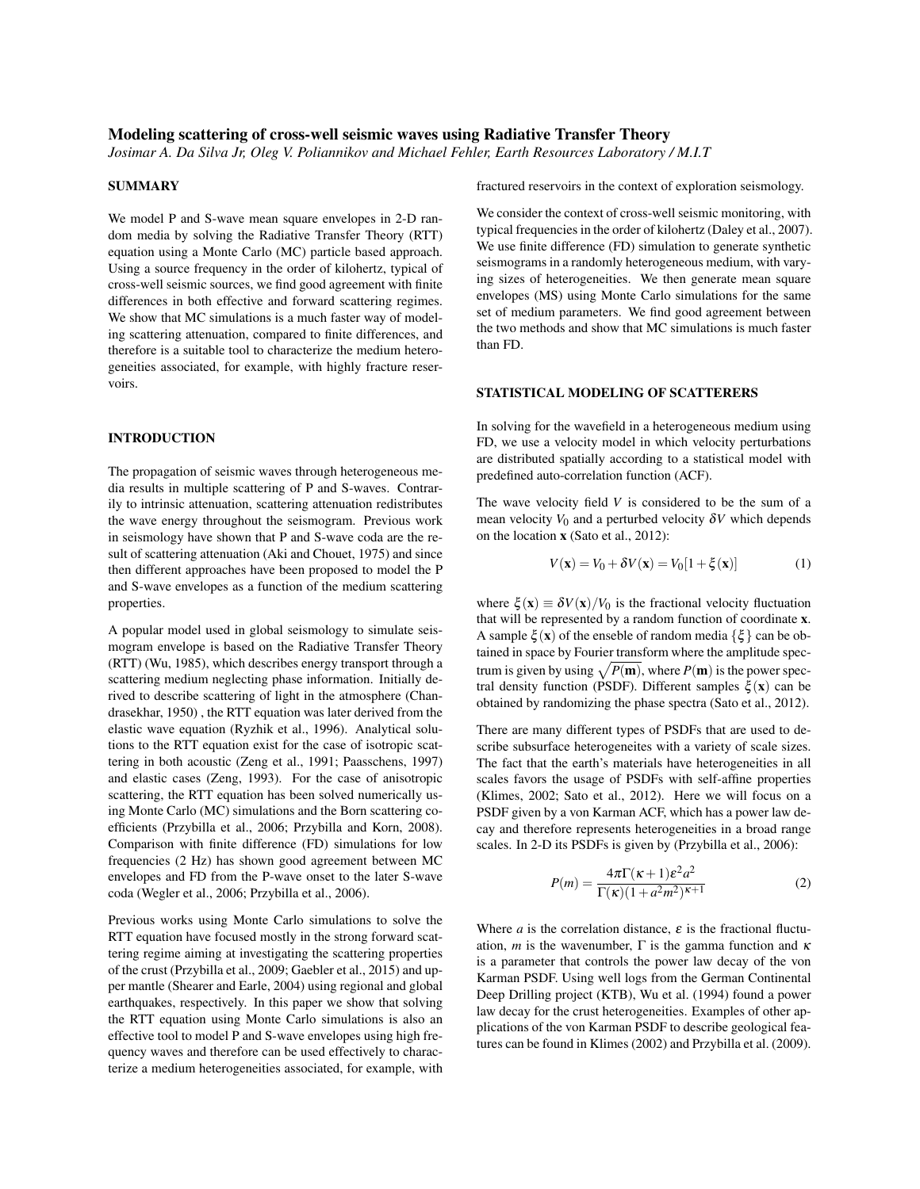# Modeling scattering of cross-well seismic waves using Radiative Transfer Theory

*Josimar A. Da Silva Jr, Oleg V. Poliannikov and Michael Fehler, Earth Resources Laboratory / M.I.T*

#### **SUMMARY**

We model P and S-wave mean square envelopes in 2-D random media by solving the Radiative Transfer Theory (RTT) equation using a Monte Carlo (MC) particle based approach. Using a source frequency in the order of kilohertz, typical of cross-well seismic sources, we find good agreement with finite differences in both effective and forward scattering regimes. We show that MC simulations is a much faster way of modeling scattering attenuation, compared to finite differences, and therefore is a suitable tool to characterize the medium heterogeneities associated, for example, with highly fracture reservoirs.

#### INTRODUCTION

The propagation of seismic waves through heterogeneous media results in multiple scattering of P and S-waves. Contrarily to intrinsic attenuation, scattering attenuation redistributes the wave energy throughout the seismogram. Previous work in seismology have shown that P and S-wave coda are the result of scattering attenuation (Aki and Chouet, 1975) and since then different approaches have been proposed to model the P and S-wave envelopes as a function of the medium scattering properties.

A popular model used in global seismology to simulate seismogram envelope is based on the Radiative Transfer Theory (RTT) (Wu, 1985), which describes energy transport through a scattering medium neglecting phase information. Initially derived to describe scattering of light in the atmosphere (Chandrasekhar, 1950) , the RTT equation was later derived from the elastic wave equation (Ryzhik et al., 1996). Analytical solutions to the RTT equation exist for the case of isotropic scattering in both acoustic (Zeng et al., 1991; Paasschens, 1997) and elastic cases (Zeng, 1993). For the case of anisotropic scattering, the RTT equation has been solved numerically using Monte Carlo (MC) simulations and the Born scattering coefficients (Przybilla et al., 2006; Przybilla and Korn, 2008). Comparison with finite difference (FD) simulations for low frequencies (2 Hz) has shown good agreement between MC envelopes and FD from the P-wave onset to the later S-wave coda (Wegler et al., 2006; Przybilla et al., 2006).

Previous works using Monte Carlo simulations to solve the RTT equation have focused mostly in the strong forward scattering regime aiming at investigating the scattering properties of the crust (Przybilla et al., 2009; Gaebler et al., 2015) and upper mantle (Shearer and Earle, 2004) using regional and global earthquakes, respectively. In this paper we show that solving the RTT equation using Monte Carlo simulations is also an effective tool to model P and S-wave envelopes using high frequency waves and therefore can be used effectively to characterize a medium heterogeneities associated, for example, with fractured reservoirs in the context of exploration seismology.

We consider the context of cross-well seismic monitoring, with typical frequencies in the order of kilohertz (Daley et al., 2007). We use finite difference (FD) simulation to generate synthetic seismograms in a randomly heterogeneous medium, with varying sizes of heterogeneities. We then generate mean square envelopes (MS) using Monte Carlo simulations for the same set of medium parameters. We find good agreement between the two methods and show that MC simulations is much faster than FD.

#### STATISTICAL MODELING OF SCATTERERS

In solving for the wavefield in a heterogeneous medium using FD, we use a velocity model in which velocity perturbations are distributed spatially according to a statistical model with predefined auto-correlation function (ACF).

The wave velocity field *V* is considered to be the sum of a mean velocity  $V_0$  and a perturbed velocity  $\delta V$  which depends on the location x (Sato et al., 2012):

$$
V(\mathbf{x}) = V_0 + \delta V(\mathbf{x}) = V_0[1 + \xi(\mathbf{x})]
$$
(1)

where  $\xi(\mathbf{x}) \equiv \delta V(\mathbf{x})/V_0$  is the fractional velocity fluctuation that will be represented by a random function of coordinate x. A sample  $\xi(\mathbf{x})$  of the enseble of random media  $\{\xi\}$  can be obtained in space by Fourier transform where the amplitude spectrum is given by using  $\sqrt{P(m)}$ , where  $P(m)$  is the power spectral density function (PSDF). Different samples  $\xi(\mathbf{x})$  can be obtained by randomizing the phase spectra (Sato et al., 2012).

There are many different types of PSDFs that are used to describe subsurface heterogeneites with a variety of scale sizes. The fact that the earth's materials have heterogeneities in all scales favors the usage of PSDFs with self-affine properties (Klimes, 2002; Sato et al., 2012). Here we will focus on a PSDF given by a von Karman ACF, which has a power law decay and therefore represents heterogeneities in a broad range scales. In 2-D its PSDFs is given by (Przybilla et al., 2006):

$$
P(m) = \frac{4\pi\Gamma(\kappa+1)\varepsilon^2 a^2}{\Gamma(\kappa)(1+a^2m^2)^{\kappa+1}}
$$
 (2)

Where *a* is the correlation distance,  $\varepsilon$  is the fractional fluctuation, *m* is the wavenumber,  $\Gamma$  is the gamma function and  $\kappa$ is a parameter that controls the power law decay of the von Karman PSDF. Using well logs from the German Continental Deep Drilling project (KTB), Wu et al. (1994) found a power law decay for the crust heterogeneities. Examples of other applications of the von Karman PSDF to describe geological features can be found in Klimes (2002) and Przybilla et al. (2009).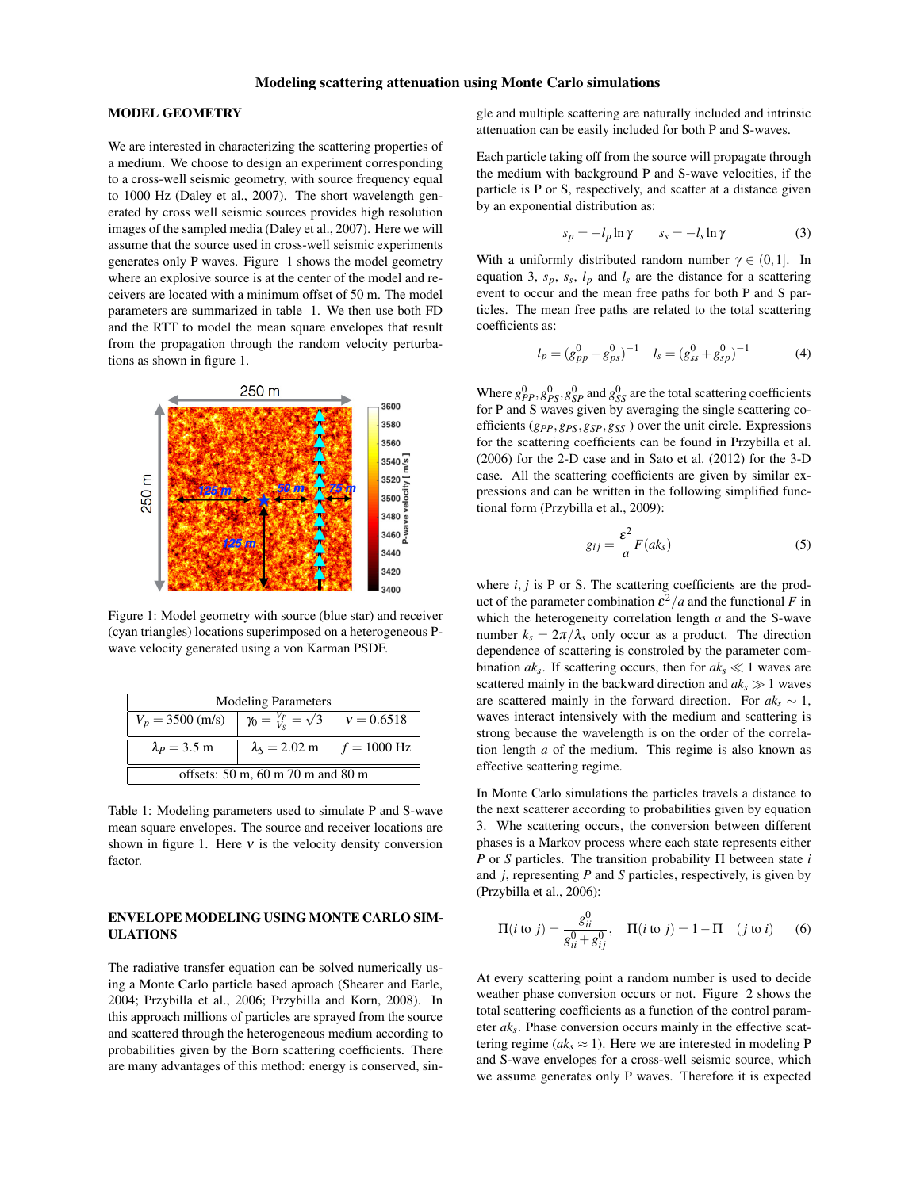### MODEL GEOMETRY

We are interested in characterizing the scattering properties of a medium. We choose to design an experiment corresponding to a cross-well seismic geometry, with source frequency equal to 1000 Hz (Daley et al., 2007). The short wavelength generated by cross well seismic sources provides high resolution images of the sampled media (Daley et al., 2007). Here we will assume that the source used in cross-well seismic experiments generates only P waves. Figure 1 shows the model geometry where an explosive source is at the center of the model and receivers are located with a minimum offset of 50 m. The model parameters are summarized in table 1. We then use both FD and the RTT to model the mean square envelopes that result from the propagation through the random velocity perturbations as shown in figure 1.



Figure 1: Model geometry with source (blue star) and receiver (cyan triangles) locations superimposed on a heterogeneous Pwave velocity generated using a von Karman PSDF.

| <b>Modeling Parameters</b>        |                                                      |  |  |
|-----------------------------------|------------------------------------------------------|--|--|
| $V_p = 3500$ (m/s)                | $\gamma_0 = \frac{V_P}{V_S} = \sqrt{3}$ $v = 0.6518$ |  |  |
| $\lambda_P = 3.5$ m               | $\lambda_s = 2.02$ m   $f = 1000$ Hz                 |  |  |
| offsets: 50 m, 60 m 70 m and 80 m |                                                      |  |  |

Table 1: Modeling parameters used to simulate P and S-wave mean square envelopes. The source and receiver locations are shown in figure 1. Here  $v$  is the velocity density conversion factor.

## ENVELOPE MODELING USING MONTE CARLO SIM-ULATIONS

The radiative transfer equation can be solved numerically using a Monte Carlo particle based aproach (Shearer and Earle, 2004; Przybilla et al., 2006; Przybilla and Korn, 2008). In this approach millions of particles are sprayed from the source and scattered through the heterogeneous medium according to probabilities given by the Born scattering coefficients. There are many advantages of this method: energy is conserved, sin-

gle and multiple scattering are naturally included and intrinsic attenuation can be easily included for both P and S-waves.

Each particle taking off from the source will propagate through the medium with background P and S-wave velocities, if the particle is P or S, respectively, and scatter at a distance given by an exponential distribution as:

$$
s_p = -l_p \ln \gamma \qquad s_s = -l_s \ln \gamma \tag{3}
$$

With a uniformly distributed random number  $\gamma \in (0,1]$ . In equation 3,  $s_p$ ,  $s_s$ ,  $l_p$  and  $l_s$  are the distance for a scattering event to occur and the mean free paths for both P and S particles. The mean free paths are related to the total scattering coefficients as:

$$
l_p = (g_{pp}^0 + g_{ps}^0)^{-1} \t l_s = (g_{ss}^0 + g_{sp}^0)^{-1} \t (4)
$$

Where  $g_{PP}^0$ ,  $g_{PS}^0$ ,  $g_{SP}^0$  and  $g_{SS}^0$  are the total scattering coefficients for P and S waves given by averaging the single scattering coefficients (*gPP*,*gPS*,*gSP*,*gSS* ) over the unit circle. Expressions for the scattering coefficients can be found in Przybilla et al. (2006) for the 2-D case and in Sato et al. (2012) for the 3-D case. All the scattering coefficients are given by similar expressions and can be written in the following simplified functional form (Przybilla et al., 2009):

$$
g_{ij} = \frac{\varepsilon^2}{a} F(ak_s) \tag{5}
$$

where  $i, j$  is P or S. The scattering coefficients are the product of the parameter combination  $\varepsilon^2/a$  and the functional F in which the heterogeneity correlation length *a* and the S-wave number  $k_s = 2\pi/\lambda_s$  only occur as a product. The direction dependence of scattering is constroled by the parameter combination  $ak_s$ . If scattering occurs, then for  $ak_s \ll 1$  waves are scattered mainly in the backward direction and  $ak_s \gg 1$  waves are scattered mainly in the forward direction. For  $ak<sub>s</sub> \sim 1$ , waves interact intensively with the medium and scattering is strong because the wavelength is on the order of the correlation length *a* of the medium. This regime is also known as effective scattering regime.

In Monte Carlo simulations the particles travels a distance to the next scatterer according to probabilities given by equation 3. Whe scattering occurs, the conversion between different phases is a Markov process where each state represents either *P* or *S* particles. The transition probability Π between state *i* and *j*, representing *P* and *S* particles, respectively, is given by (Przybilla et al., 2006):

$$
\Pi(i \text{ to } j) = \frac{g_{ii}^0}{g_{ii}^0 + g_{ij}^0}, \quad \Pi(i \text{ to } j) = 1 - \Pi \quad (j \text{ to } i) \tag{6}
$$

At every scattering point a random number is used to decide weather phase conversion occurs or not. Figure 2 shows the total scattering coefficients as a function of the control parameter *aks*. Phase conversion occurs mainly in the effective scattering regime ( $ak_s \approx 1$ ). Here we are interested in modeling P and S-wave envelopes for a cross-well seismic source, which we assume generates only P waves. Therefore it is expected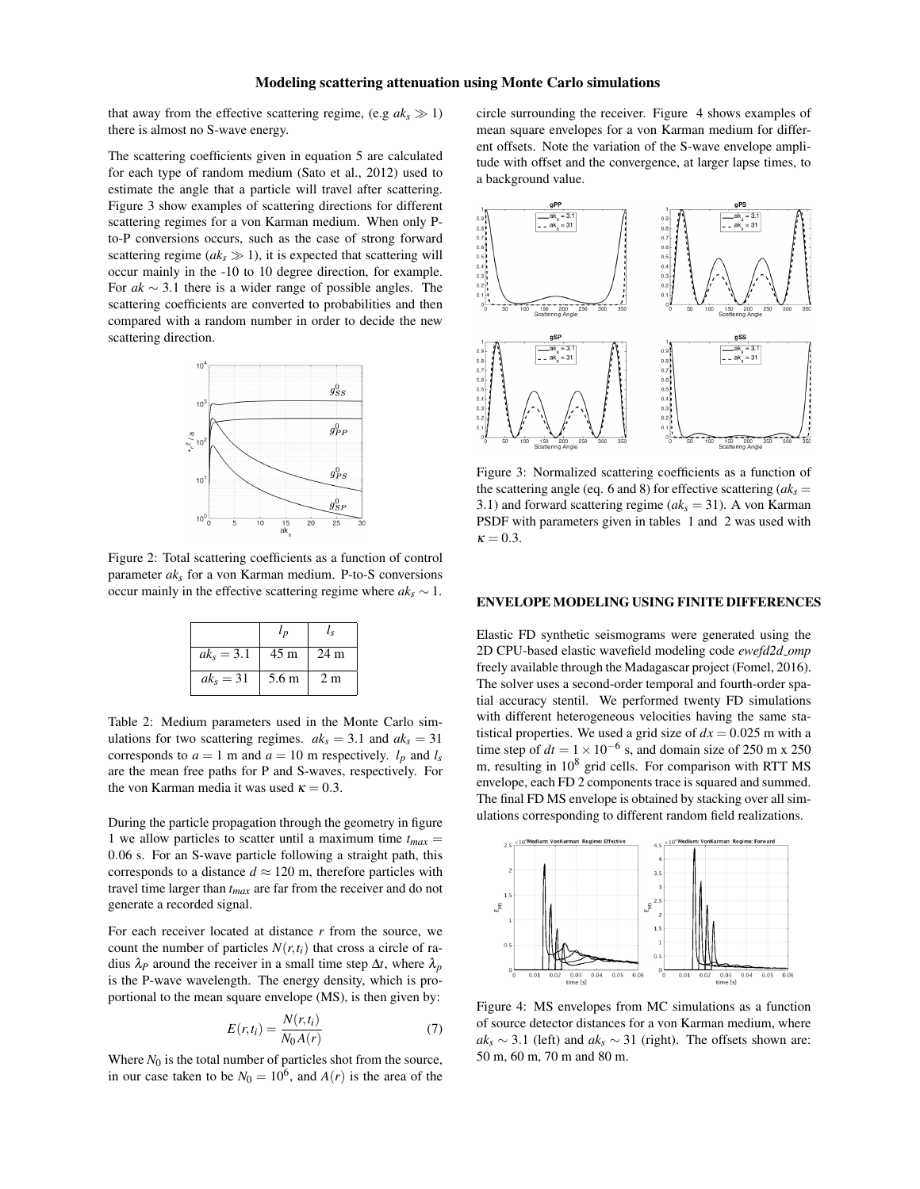that away from the effective scattering regime, (e.g  $ak_s \gg 1$ ) there is almost no S-wave energy.

The scattering coefficients given in equation 5 are calculated for each type of random medium (Sato et al., 2012) used to estimate the angle that a particle will travel after scattering. Figure 3 show examples of scattering directions for different scattering regimes for a von Karman medium. When only Pto-P conversions occurs, such as the case of strong forward scattering regime  $(ak_s \gg 1)$ , it is expected that scattering will occur mainly in the -10 to 10 degree direction, for example. For *ak* ∼ 3.1 there is a wider range of possible angles. The scattering coefficients are converted to probabilities and then compared with a random number in order to decide the new scattering direction.



Figure 2: Total scattering coefficients as a function of control parameter *aks* for a von Karman medium. P-to-S conversions occur mainly in the effective scattering regime where  $ak_s \sim 1$ .

|              | $l_{p}$ | l ç             |
|--------------|---------|-----------------|
| $ak_s = 3.1$ | 45 m    | 24 <sub>m</sub> |
| $ak_s = 31$  | 5.6 m   | 2 <sub>m</sub>  |

Table 2: Medium parameters used in the Monte Carlo simulations for two scattering regimes.  $ak_s = 3.1$  and  $ak_s = 31$ corresponds to  $a = 1$  m and  $a = 10$  m respectively.  $l_p$  and  $l_s$ are the mean free paths for P and S-waves, respectively. For the von Karman media it was used  $\kappa = 0.3$ .

During the particle propagation through the geometry in figure 1 we allow particles to scatter until a maximum time  $t_{max}$  = 0.06 s. For an S-wave particle following a straight path, this corresponds to a distance  $d \approx 120$  m, therefore particles with travel time larger than *tmax* are far from the receiver and do not generate a recorded signal.

For each receiver located at distance *r* from the source, we count the number of particles  $N(r,t_i)$  that cross a circle of radius  $\lambda_P$  around the receiver in a small time step  $\Delta t$ , where  $\lambda_p$ is the P-wave wavelength. The energy density, which is proportional to the mean square envelope (MS), is then given by:

$$
E(r,t_i) = \frac{N(r,t_i)}{N_0 A(r)}\tag{7}
$$

Where  $N_0$  is the total number of particles shot from the source, in our case taken to be  $N_0 = 10^6$ , and  $A(r)$  is the area of the

circle surrounding the receiver. Figure 4 shows examples of mean square envelopes for a von Karman medium for different offsets. Note the variation of the S-wave envelope amplitude with offset and the convergence, at larger lapse times, to a background value.



Figure 3: Normalized scattering coefficients as a function of the scattering angle (eq. 6 and 8) for effective scattering (*aks* = 3.1) and forward scattering regime  $(ak<sub>s</sub> = 31)$ . A von Karman PSDF with parameters given in tables 1 and 2 was used with  $\kappa = 0.3$ .

### ENVELOPE MODELING USING FINITE DIFFERENCES

Elastic FD synthetic seismograms were generated using the 2D CPU-based elastic wavefield modeling code *ewefd2d omp* freely available through the Madagascar project (Fomel, 2016). The solver uses a second-order temporal and fourth-order spatial accuracy stentil. We performed twenty FD simulations with different heterogeneous velocities having the same statistical properties. We used a grid size of  $dx = 0.025$  m with a time step of  $dt = 1 \times 10^{-6}$  s, and domain size of 250 m x 250 m, resulting in  $10^8$  grid cells. For comparison with RTT MS envelope, each FD 2 components trace is squared and summed. The final FD MS envelope is obtained by stacking over all simulations corresponding to different random field realizations.



Figure 4: MS envelopes from MC simulations as a function of source detector distances for a von Karman medium, where  $ak_s \sim 3.1$  (left) and  $ak_s \sim 31$  (right). The offsets shown are: 50 m, 60 m, 70 m and 80 m.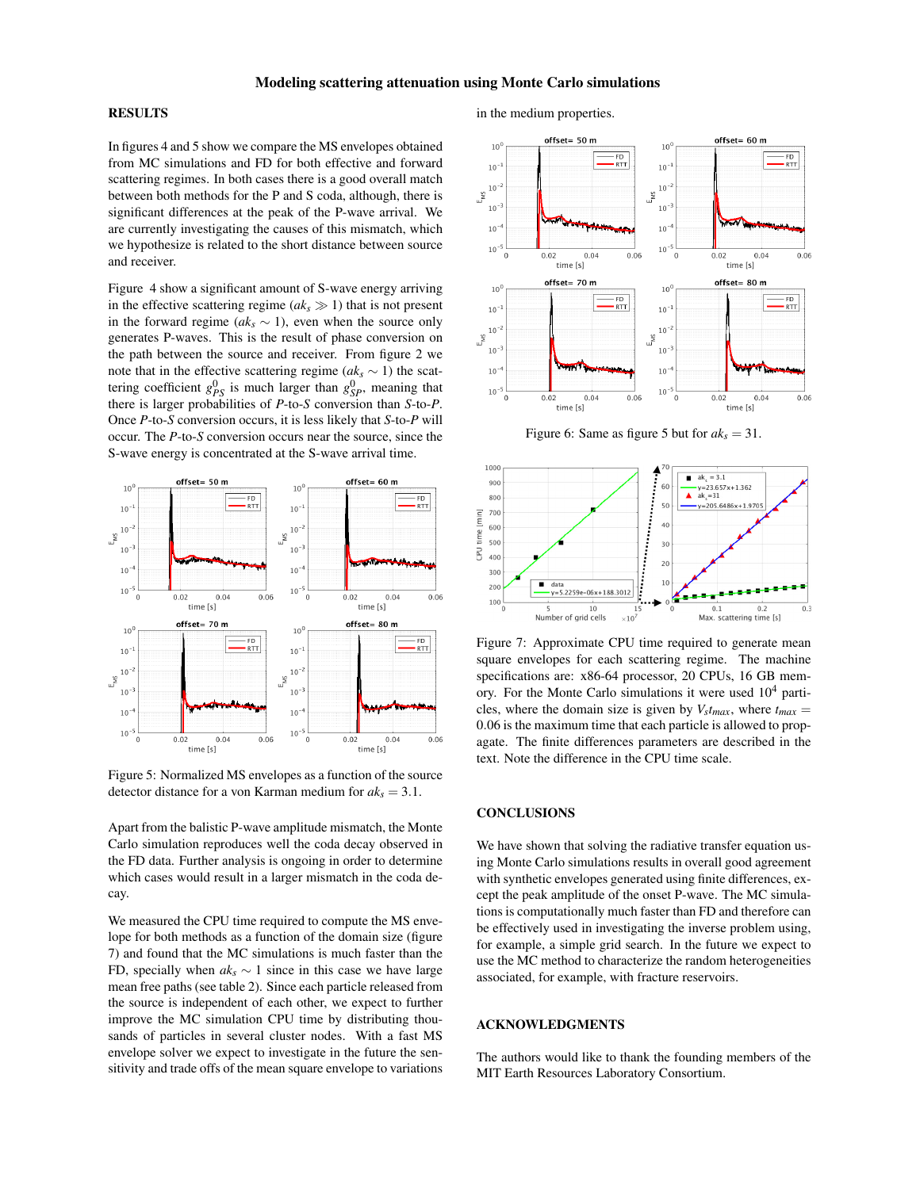## RESULTS

In figures 4 and 5 show we compare the MS envelopes obtained from MC simulations and FD for both effective and forward scattering regimes. In both cases there is a good overall match between both methods for the P and S coda, although, there is significant differences at the peak of the P-wave arrival. We are currently investigating the causes of this mismatch, which we hypothesize is related to the short distance between source and receiver.

Figure 4 show a significant amount of S-wave energy arriving in the effective scattering regime  $(ak_s \gg 1)$  that is not present in the forward regime ( $ak<sub>s</sub>$  ∼ 1), even when the source only generates P-waves. This is the result of phase conversion on the path between the source and receiver. From figure 2 we note that in the effective scattering regime ( $ak_s \sim 1$ ) the scattering coefficient  $g_{PS}^0$  is much larger than  $g_{SP}^0$ , meaning that there is larger probabilities of *P*-to-*S* conversion than *S*-to-*P*. Once *P*-to-*S* conversion occurs, it is less likely that *S*-to-*P* will occur. The *P*-to-*S* conversion occurs near the source, since the S-wave energy is concentrated at the S-wave arrival time.



Figure 5: Normalized MS envelopes as a function of the source detector distance for a von Karman medium for *aks* = 3.1.

Apart from the balistic P-wave amplitude mismatch, the Monte Carlo simulation reproduces well the coda decay observed in the FD data. Further analysis is ongoing in order to determine which cases would result in a larger mismatch in the coda decay.

We measured the CPU time required to compute the MS envelope for both methods as a function of the domain size (figure 7) and found that the MC simulations is much faster than the FD, specially when  $ak_s \sim 1$  since in this case we have large mean free paths (see table 2). Since each particle released from the source is independent of each other, we expect to further improve the MC simulation CPU time by distributing thousands of particles in several cluster nodes. With a fast MS envelope solver we expect to investigate in the future the sensitivity and trade offs of the mean square envelope to variations

# in the medium properties.



Figure 6: Same as figure 5 but for  $ak_s = 31$ .



Figure 7: Approximate CPU time required to generate mean square envelopes for each scattering regime. The machine specifications are: x86-64 processor, 20 CPUs, 16 GB memory. For the Monte Carlo simulations it were used  $10<sup>4</sup>$  particles, where the domain size is given by  $V<sub>s</sub>$ *t*<sub>*max*</sub>, where  $t<sub>max</sub>$  = 0.06 is the maximum time that each particle is allowed to propagate. The finite differences parameters are described in the text. Note the difference in the CPU time scale.

#### **CONCLUSIONS**

We have shown that solving the radiative transfer equation using Monte Carlo simulations results in overall good agreement with synthetic envelopes generated using finite differences, except the peak amplitude of the onset P-wave. The MC simulations is computationally much faster than FD and therefore can be effectively used in investigating the inverse problem using, for example, a simple grid search. In the future we expect to use the MC method to characterize the random heterogeneities associated, for example, with fracture reservoirs.

## ACKNOWLEDGMENTS

The authors would like to thank the founding members of the MIT Earth Resources Laboratory Consortium.